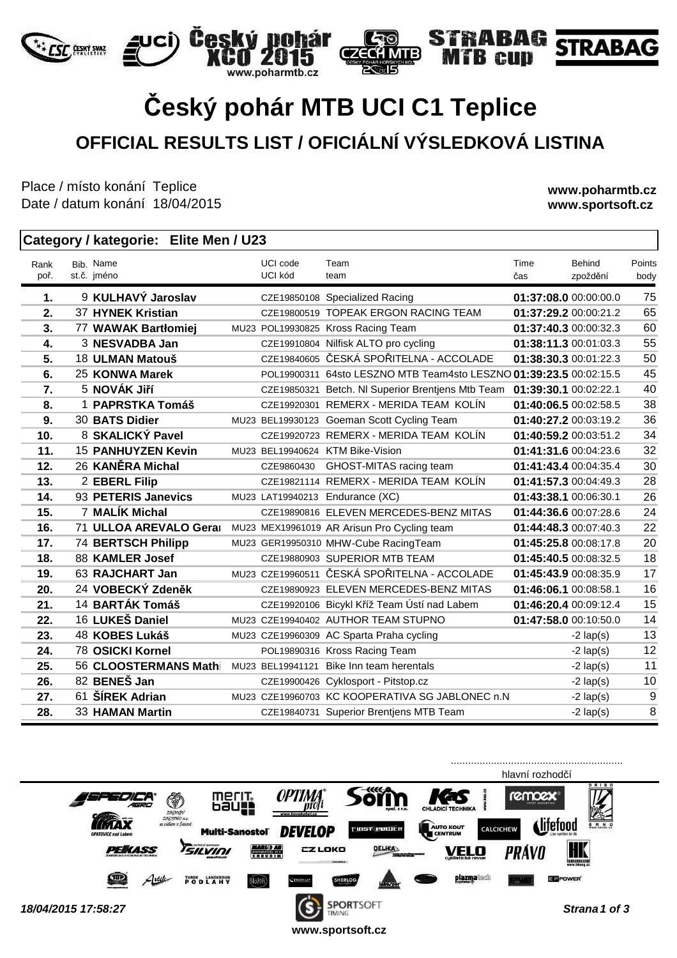# **Český pohár MTB UCI C1 Teplice OFFICIAL RESULTS LIST / OFICIÁLNÍ VÝSLEDKOVÁ LISTINA**

 $\epsilon$ 

**MTB** 

hár

noharmth.cz

Place / místo konání: Teplice Date / datum konání: 18/04/2015

**FSF** CESKY SVAZ

**www.poharmtb.cz www.sportsoft.cz**

**BAG STRABAG** 

em

#### **Category / kategorie: Elite Men / U23**

ici) Český po

| Rank<br>poř. | Bib. Name<br>st.č. jméno  | UCI code<br>UCI kód | Team<br>team                                                       | Time<br>čas           | Behind<br>zpoždění | Points<br>body |
|--------------|---------------------------|---------------------|--------------------------------------------------------------------|-----------------------|--------------------|----------------|
| 1.           | 9 KULHAVÝ Jaroslav        |                     | CZE19850108 Specialized Racing                                     | 01:37:08.0 00:00:00.0 |                    | 75             |
| 2.           | 37 HYNEK Kristian         |                     | CZE19800519 TOPEAK ERGON RACING TEAM                               | 01:37:29.2 00:00:21.2 |                    | 65             |
| 3.           | 77 WAWAK Bartłomiej       |                     | MU23 POL19930825 Kross Racing Team                                 | 01:37:40.3 00:00:32.3 |                    | 60             |
| 4.           | 3 NESVADBA Jan            |                     | CZE19910804 Nilfisk ALTO pro cycling                               | 01:38:11.3 00:01:03.3 |                    | 55             |
| 5.           | 18 ULMAN Matouš           |                     | CZE19840605 ČESKÁ SPOŘITELNA - ACCOLADE                            | 01:38:30.3 00:01:22.3 |                    | 50             |
| 6.           | 25 KONWA Marek            |                     | POL19900311 64sto LESZNO MTB Team4sto LESZNO 01:39:23.5 00:02:15.5 |                       |                    | 45             |
| 7.           | 5 NOVÁK Jiří              |                     | CZE19850321 Betch. NI Superior Brentjens Mtb Team                  | 01:39:30.1 00:02:22.1 |                    | 40             |
| 8.           | 1 PAPRSTKA Tomáš          |                     | CZE19920301 REMERX - MERIDA TEAM KOLÍN                             | 01:40:06.5 00:02:58.5 |                    | 38             |
| 9.           | 30 BATS Didier            |                     | MU23 BEL19930123 Goeman Scott Cycling Team                         | 01:40:27.2 00:03:19.2 |                    | 36             |
| 10.          | 8 SKALICKÝ Pavel          |                     | CZE19920723 REMERX - MERIDA TEAM KOLÍN                             | 01:40:59.2 00:03:51.2 |                    | 34             |
| 11.          | <b>15 PANHUYZEN Kevin</b> |                     | MU23 BEL19940624 KTM Bike-Vision                                   | 01:41:31.6 00:04:23.6 |                    | 32             |
| 12.          | 26 KANĚRA Michal          | CZE9860430          | GHOST-MITAS racing team                                            | 01:41:43.4 00:04:35.4 |                    | 30             |
| 13.          | 2 EBERL Filip             |                     | CZE19821114 REMERX - MERIDA TEAM KOLÍN                             | 01:41:57.3 00:04:49.3 |                    | 28             |
| 14.          | 93 PETERIS Janevics       |                     | MU23 LAT19940213 Endurance (XC)                                    | 01:43:38.1 00:06:30.1 |                    | 26             |
| 15.          | 7 MALÍK Michal            |                     | CZE19890816 ELEVEN MERCEDES-BENZ MITAS                             | 01:44:36.6 00:07:28.6 |                    | 24             |
| 16.          | 71 ULLOA AREVALO Geral    |                     | MU23 MEX19961019 AR Arisun Pro Cycling team                        | 01:44:48.3 00:07:40.3 |                    | 22             |
| 17.          | <b>74 BERTSCH Philipp</b> |                     | MU23 GER19950310 MHW-Cube RacingTeam                               | 01:45:25.8 00:08:17.8 |                    | 20             |
| 18.          | 88 KAMLER Josef           |                     | CZE19880903 SUPERIOR MTB TEAM                                      | 01:45:40.5 00:08:32.5 |                    | 18             |
| 19.          | 63 RAJCHART Jan           |                     | MU23 CZE19960511 ČESKÁ SPOŘITELNA - ACCOLADE                       | 01:45:43.9 00:08:35.9 |                    | 17             |
| 20.          | 24 VOBECKÝ Zdeněk         |                     | CZE19890923 ELEVEN MERCEDES-BENZ MITAS                             | 01:46:06.1 00:08:58.1 |                    | 16             |
| 21.          | 14 BARTÁK Tomáš           |                     | CZE19920106 Bicykl Kříž Team Ústí nad Labem                        | 01:46:20.4 00:09:12.4 |                    | 15             |
| 22.          | 16 LUKEŠ Daniel           |                     | MU23 CZE19940402 AUTHOR TEAM STUPNO                                | 01:47:58.0 00:10:50.0 |                    | 14             |
| 23.          | 48 KOBES Lukáš            |                     | MU23 CZE19960309 AC Sparta Praha cycling                           |                       | $-2$ lap(s)        | 13             |
| 24.          | 78 OSICKI Kornel          |                     | POL19890316 Kross Racing Team                                      |                       | $-2$ lap(s)        | 12             |
| 25.          | 56 CLOOSTERMANS Mathi     |                     | MU23 BEL19941121 Bike Inn team herentals                           |                       | $-2$ lap(s)        | 11             |
| 26.          | 82 BENEŠ Jan              |                     | CZE19900426 Cyklosport - Pitstop.cz                                |                       | $-2$ lap(s)        | 10             |
| 27.          | 61 ŠÍREK Adrian           |                     | MU23 CZE19960703 KC KOOPERATIVA SG JABLONEC n.N                    |                       | $-2$ lap(s)        | 9              |
| 28.          | 33 HAMAN Martin           |                     | CZE19840731 Superior Brentjens MTB Team                            |                       | $-2$ lap(s)        | 8              |

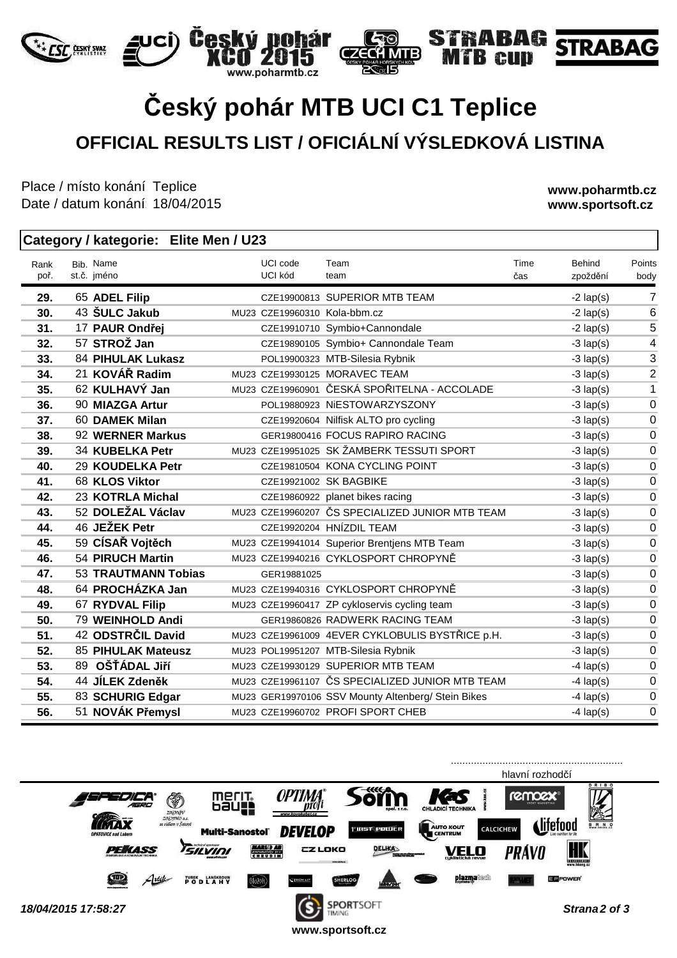### **Český pohár MTB UCI C1 Teplice OFFICIAL RESULTS LIST / OFICIÁLNÍ VÝSLEDKOVÁ LISTINA**

 $\epsilon$ 

**MTB** 

hár

.poharmtb.cz

Place / místo konání: Teplice Date / datum konání: 18/04/2015

**www.poharmtb.cz www.sportsoft.cz**

#### **Category / kategorie: Elite Men / U23**

| Rank<br>poř. | Bib. Name<br>st.č. jméno       | UCI code<br>UCI kód          | Team<br>team                                       | Time<br>čas | Behind<br>zpoždění | Points<br>body |
|--------------|--------------------------------|------------------------------|----------------------------------------------------|-------------|--------------------|----------------|
|              |                                |                              | CZE19900813 SUPERIOR MTB TEAM                      |             |                    | 7              |
| 29.          | 65 ADEL Filip<br>43 ŠULC Jakub |                              |                                                    |             | $-2$ lap(s)        | 6              |
| 30.          |                                | MU23 CZE19960310 Kola-bbm.cz |                                                    |             | $-2$ lap(s)        | 5              |
| 31.          | 17 PAUR Ondřej<br>57 STROŽ Jan |                              | CZE19910710 Symbio+Cannondale                      |             | $-2$ lap(s)        |                |
| 32.          |                                |                              | CZE19890105 Symbio+ Cannondale Team                |             | $-3$ lap(s)        | 4              |
| 33.          | <b>84 PIHULAK Lukasz</b>       |                              | POL19900323 MTB-Silesia Rybnik                     |             | $-3$ lap(s)        | 3              |
| 34.          | 21 KOVÁŘ Radim                 |                              | MU23 CZE19930125 MORAVEC TEAM                      |             | $-3$ lap(s)        | $\overline{2}$ |
| 35.          | 62 KULHAVÝ Jan                 |                              | MU23 CZE19960901 ČESKÁ SPOŘITELNA - ACCOLADE       |             | $-3$ lap(s)        | 1              |
| 36.          | 90 MIAZGA Artur                |                              | POL19880923 NiESTOWARZYSZONY                       |             | $-3$ lap(s)        | $\mathbf 0$    |
| 37.          | 60 DAMEK Milan                 |                              | CZE19920604 Nilfisk ALTO pro cycling               |             | $-3$ lap(s)        | $\overline{0}$ |
| 38.          | 92 WERNER Markus               |                              | GER19800416 FOCUS RAPIRO RACING                    |             | $-3$ lap(s)        | $\mathbf 0$    |
| 39.          | 34 KUBELKA Petr                |                              | MU23 CZE19951025 SK ŽAMBERK TESSUTI SPORT          |             | $-3$ lap(s)        | $\mathbf 0$    |
| 40.          | 29 KOUDELKA Petr               |                              | CZE19810504 KONA CYCLING POINT                     |             | $-3$ lap(s)        | $\mathbf 0$    |
| 41.          | 68 KLOS Viktor                 |                              | CZE19921002 SK BAGBIKE                             |             | $-3$ lap(s)        | $\mathbf 0$    |
| 42.          | 23 KOTRLA Michal               |                              | CZE19860922 planet bikes racing                    |             | $-3$ lap(s)        | $\mathbf 0$    |
| 43.          | 52 DOLEŽAL Václav              |                              | MU23 CZE19960207 ČS SPECIALIZED JUNIOR MTB TEAM    |             | $-3$ lap(s)        | $\mathbf 0$    |
| 44.          | 46 JEŽEK Petr                  |                              | CZE19920204 HNÍZDIL TEAM                           |             | $-3$ lap(s)        | $\mathbf 0$    |
| 45.          | 59 CÍSAŘ Vojtěch               |                              | MU23 CZE19941014 Superior Brentjens MTB Team       |             | $-3$ lap(s)        | $\mathbf 0$    |
| 46.          | <b>54 PIRUCH Martin</b>        |                              | MU23 CZE19940216 CYKLOSPORT CHROPYNĚ               |             | $-3$ lap(s)        | $\mathbf 0$    |
| 47.          | <b>53 TRAUTMANN Tobias</b>     | GER19881025                  |                                                    |             | $-3$ lap(s)        | $\mathbf 0$    |
| 48.          | 64 PROCHÁZKA Jan               |                              | MU23 CZE19940316 CYKLOSPORT CHROPYNĚ               |             | $-3$ lap(s)        | $\mathbf 0$    |
| 49.          | 67 RYDVAL Filip                |                              | MU23 CZE19960417 ZP cykloservis cycling team       |             | $-3$ lap(s)        | $\mathbf 0$    |
| 50.          | 79 WEINHOLD Andi               |                              | GER19860826 RADWERK RACING TEAM                    |             | $-3$ lap(s)        | $\overline{0}$ |
| 51.          | 42 ODSTRČIL David              |                              | MU23 CZE19961009 4EVER CYKLOBULIS BYSTŘICE p.H.    |             | $-3$ lap(s)        | $\mathbf 0$    |
| 52.          | 85 PIHULAK Mateusz             |                              | MU23 POL19951207 MTB-Silesia Rybnik                |             | $-3$ lap(s)        | $\overline{0}$ |
| 53.          | 89 OŠŤÁDAL Jiří                |                              | MU23 CZE19930129 SUPERIOR MTB TEAM                 |             | $-4$ lap(s)        | $\mathbf 0$    |
| 54.          | 44 JÍLEK Zdeněk                |                              | MU23 CZE19961107 ČS SPECIALIZED JUNIOR MTB TEAM    |             | $-4$ lap(s)        | $\overline{0}$ |
| 55.          | 83 SCHURIG Edgar               |                              | MU23 GER19970106 SSV Mounty Altenberg/ Stein Bikes |             | $-4$ lap(s)        | $\mathbf 0$    |
| 56.          | 51 NOVÁK Přemysl               |                              | MU23 CZE19960702 PROFI SPORT CHEB                  |             | $-4$ lap(s)        | $\Omega$       |